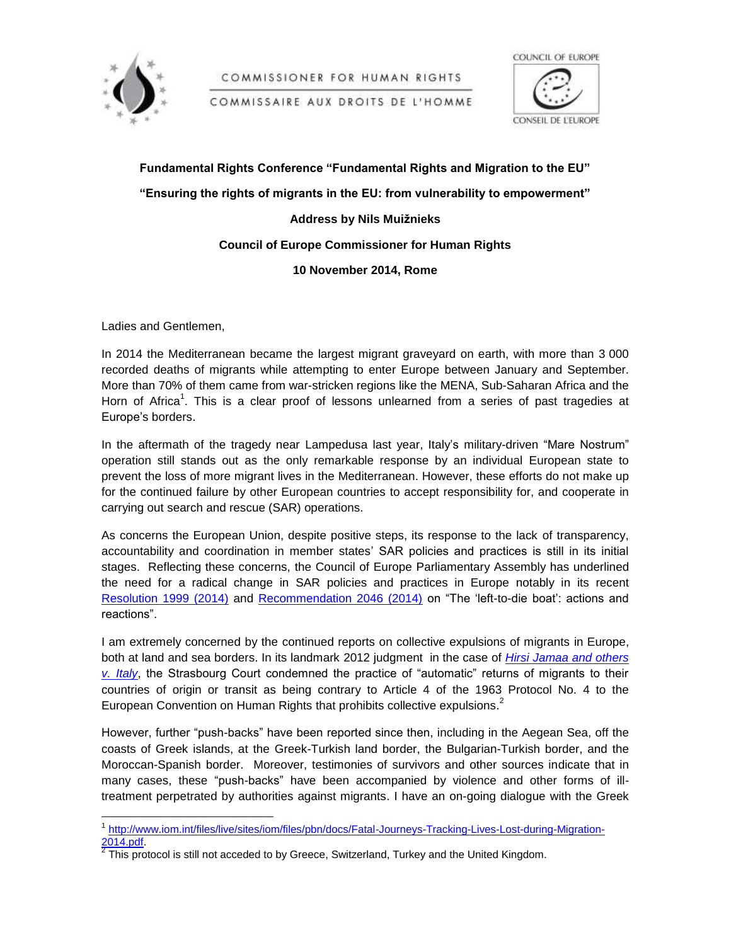

COMMISSIONER FOR HUMAN RIGHTS

COMMISSAIRE AUX DROITS DE L'HOMME



**Fundamental Rights Conference "Fundamental Rights and Migration to the EU" "Ensuring the rights of migrants in the EU: from vulnerability to empowerment" Address by Nils Muižnieks Council of Europe Commissioner for Human Rights**

## **10 November 2014, Rome**

Ladies and Gentlemen,

In 2014 the Mediterranean became the largest migrant graveyard on earth, with more than 3 000 recorded deaths of migrants while attempting to enter Europe between January and September. More than 70% of them came from war-stricken regions like the MENA, Sub-Saharan Africa and the Horn of Africa<sup>1</sup>. This is a clear proof of lessons unlearned from a series of past tragedies at Europe's borders.

In the aftermath of the tragedy near Lampedusa last year, Italy's military-driven "Mare Nostrum" operation still stands out as the only remarkable response by an individual European state to prevent the loss of more migrant lives in the Mediterranean. However, these efforts do not make up for the continued failure by other European countries to accept responsibility for, and cooperate in carrying out search and rescue (SAR) operations.

As concerns the European Union, despite positive steps, its response to the lack of transparency, accountability and coordination in member states' SAR policies and practices is still in its initial stages. Reflecting these concerns, the Council of Europe Parliamentary Assembly has underlined the need for a radical change in SAR policies and practices in Europe notably in its recent [Resolution 1999 \(2014\)](http://assembly.coe.int/ASP/Doc/XrefViewPDF.asp?FileID=21024&Language=EN) and [Recommendation 2046 \(2014\)](http://assembly.coe.int/ASP/Doc/XrefViewPDF.asp?FileID=21026&Language=EN) on "The 'left-to-die boat': actions and reactions".

I am extremely concerned by the continued reports on collective expulsions of migrants in Europe, both at land and sea borders. In its landmark 2012 judgment in the case of *[Hirsi Jamaa and others](http://hudoc.echr.coe.int/sites/eng/pages/search.aspx?i=001-109231)  [v. Italy](http://hudoc.echr.coe.int/sites/eng/pages/search.aspx?i=001-109231)*, the Strasbourg Court condemned the practice of "automatic" returns of migrants to their countries of origin or transit as being contrary to Article 4 of the 1963 Protocol No. 4 to the European Convention on Human Rights that prohibits collective expulsions.<sup>2</sup>

However, further "push-backs" have been reported since then, including in the Aegean Sea, off the coasts of Greek islands, at the Greek-Turkish land border, the Bulgarian-Turkish border, and the Moroccan-Spanish border. Moreover, testimonies of survivors and other sources indicate that in many cases, these "push-backs" have been accompanied by violence and other forms of illtreatment perpetrated by authorities against migrants. I have an on-going dialogue with the Greek

 1 [http://www.iom.int/files/live/sites/iom/files/pbn/docs/Fatal-Journeys-Tracking-Lives-Lost-during-Migration-](http://www.iom.int/files/live/sites/iom/files/pbn/docs/Fatal-Journeys-Tracking-Lives-Lost-during-Migration-2014.pdf)[2014.pdf.](http://www.iom.int/files/live/sites/iom/files/pbn/docs/Fatal-Journeys-Tracking-Lives-Lost-during-Migration-2014.pdf)

 $2$  This protocol is still not acceded to by Greece, Switzerland, Turkey and the United Kingdom.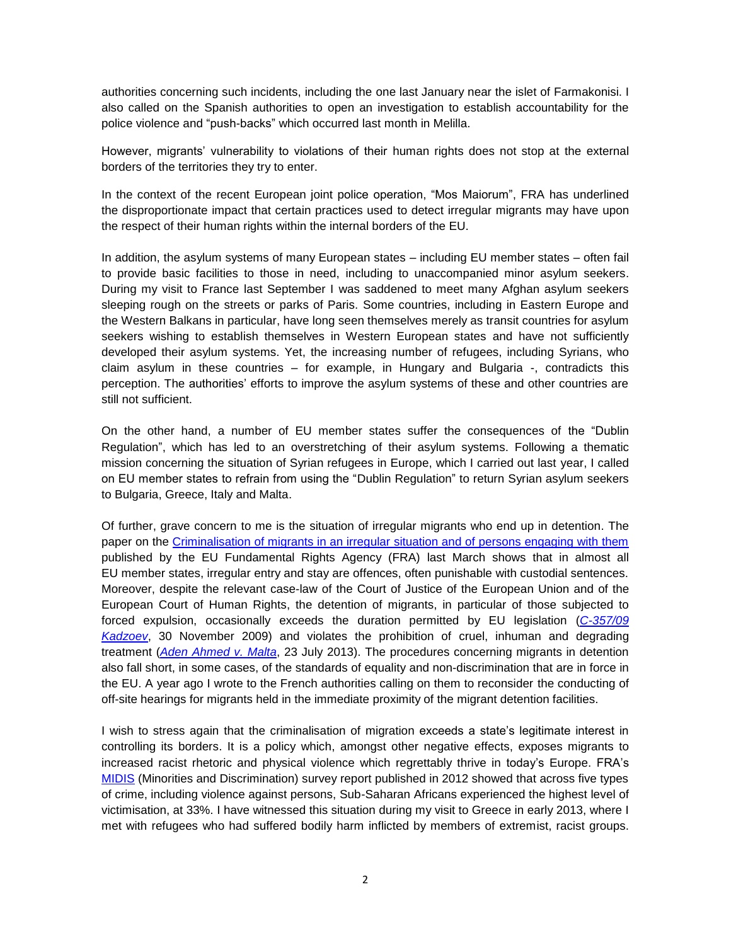authorities concerning such incidents, including the one last January near the islet of Farmakonisi. I also called on the Spanish authorities to open an investigation to establish accountability for the police violence and "push-backs" which occurred last month in Melilla.

However, migrants' vulnerability to violations of their human rights does not stop at the external borders of the territories they try to enter.

In the context of the recent European joint police operation, "Mos Maiorum", FRA has underlined the disproportionate impact that certain practices used to detect irregular migrants may have upon the respect of their human rights within the internal borders of the EU.

In addition, the asylum systems of many European states – including EU member states – often fail to provide basic facilities to those in need, including to unaccompanied minor asylum seekers. During my visit to France last September I was saddened to meet many Afghan asylum seekers sleeping rough on the streets or parks of Paris. Some countries, including in Eastern Europe and the Western Balkans in particular, have long seen themselves merely as transit countries for asylum seekers wishing to establish themselves in Western European states and have not sufficiently developed their asylum systems. Yet, the increasing number of refugees, including Syrians, who claim asylum in these countries – for example, in Hungary and Bulgaria -, contradicts this perception. The authorities' efforts to improve the asylum systems of these and other countries are still not sufficient.

On the other hand, a number of EU member states suffer the consequences of the "Dublin Regulation", which has led to an overstretching of their asylum systems. Following a thematic mission concerning the situation of Syrian refugees in Europe, which I carried out last year, I called on EU member states to refrain from using the "Dublin Regulation" to return Syrian asylum seekers to Bulgaria, Greece, Italy and Malta.

Of further, grave concern to me is the situation of irregular migrants who end up in detention. The paper on the [Criminalisation of migrants in an irregular situation and of persons engaging with them](http://fra.europa.eu/sites/default/files/fra-2014-criminalisation-of-migrants-0_en_0.pdf) published by the EU Fundamental Rights Agency (FRA) last March shows that in almost all EU member states, irregular entry and stay are offences, often punishable with custodial sentences. Moreover, despite the relevant case-law of the Court of Justice of the European Union and of the European Court of Human Rights, the detention of migrants, in particular of those subjected to forced expulsion, occasionally exceeds the duration permitted by EU legislation (*[C-357/09](http://www.asylumlawdatabase.eu/sites/www.asylumlawdatabase.eu/files/aldfiles/Original%20judgment%20-%20C-357.09.pdf)  [Kadzoev](http://www.asylumlawdatabase.eu/sites/www.asylumlawdatabase.eu/files/aldfiles/Original%20judgment%20-%20C-357.09.pdf)*, 30 November 2009) and violates the prohibition of cruel, inhuman and degrading treatment (*[Aden Ahmed v. Malta](http://hudoc.echr.coe.int/sites/eng/pages/search.aspx?i=001-122894)*, 23 July 2013). The procedures concerning migrants in detention also fall short, in some cases, of the standards of equality and non-discrimination that are in force in the EU. A year ago I wrote to the French authorities calling on them to reconsider the conducting of off-site hearings for migrants held in the immediate proximity of the migrant detention facilities.

I wish to stress again that the criminalisation of migration exceeds a state's legitimate interest in controlling its borders. It is a policy which, amongst other negative effects, exposes migrants to increased racist rhetoric and physical violence which regrettably thrive in today's Europe. FRA's [MIDIS](http://fra.europa.eu/sites/default/files/fra-2012-eu-midis-dif6_0.pdf) (Minorities and Discrimination) survey report published in 2012 showed that across five types of crime, including violence against persons, Sub-Saharan Africans experienced the highest level of victimisation, at 33%. I have witnessed this situation during my visit to Greece in early 2013, where I met with refugees who had suffered bodily harm inflicted by members of extremist, racist groups.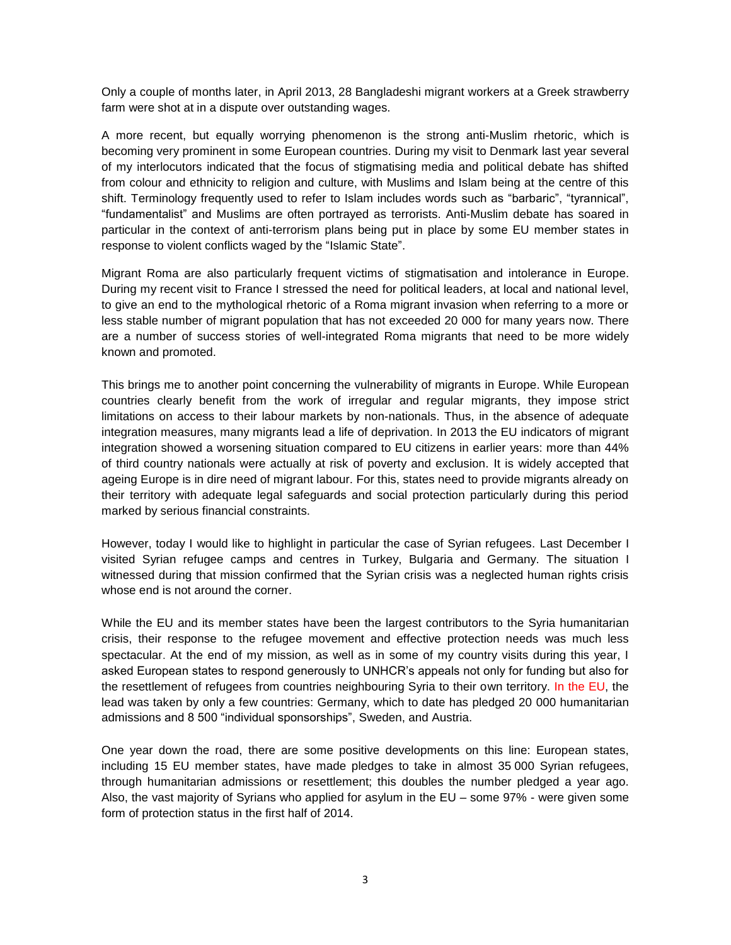Only a couple of months later, in April 2013, 28 Bangladeshi migrant workers at a Greek strawberry farm were shot at in a dispute over outstanding wages.

A more recent, but equally worrying phenomenon is the strong anti-Muslim rhetoric, which is becoming very prominent in some European countries. During my visit to Denmark last year several of my interlocutors indicated that the focus of stigmatising media and political debate has shifted from colour and ethnicity to religion and culture, with Muslims and Islam being at the centre of this shift. Terminology frequently used to refer to Islam includes words such as "barbaric", "tyrannical", "fundamentalist" and Muslims are often portrayed as terrorists. Anti-Muslim debate has soared in particular in the context of anti-terrorism plans being put in place by some EU member states in response to violent conflicts waged by the "Islamic State".

Migrant Roma are also particularly frequent victims of stigmatisation and intolerance in Europe. During my recent visit to France I stressed the need for political leaders, at local and national level, to give an end to the mythological rhetoric of a Roma migrant invasion when referring to a more or less stable number of migrant population that has not exceeded 20 000 for many years now. There are a number of success stories of well-integrated Roma migrants that need to be more widely known and promoted.

This brings me to another point concerning the vulnerability of migrants in Europe. While European countries clearly benefit from the work of irregular and regular migrants, they impose strict limitations on access to their labour markets by non-nationals. Thus, in the absence of adequate integration measures, many migrants lead a life of deprivation. In 2013 the EU indicators of migrant integration showed a worsening situation compared to EU citizens in earlier years: more than 44% of third country nationals were actually at risk of poverty and exclusion. It is widely accepted that ageing Europe is in dire need of migrant labour. For this, states need to provide migrants already on their territory with adequate legal safeguards and social protection particularly during this period marked by serious financial constraints.

However, today I would like to highlight in particular the case of Syrian refugees. Last December I visited Syrian refugee camps and centres in Turkey, Bulgaria and Germany. The situation I witnessed during that mission confirmed that the Syrian crisis was a neglected human rights crisis whose end is not around the corner.

While the EU and its member states have been the largest contributors to the Syria humanitarian crisis, their response to the refugee movement and effective protection needs was much less spectacular. At the end of my mission, as well as in some of my country visits during this year, I asked European states to respond generously to UNHCR's appeals not only for funding but also for the resettlement of refugees from countries neighbouring Syria to their own territory. In the EU, the lead was taken by only a few countries: Germany, which to date has pledged 20 000 humanitarian admissions and 8 500 "individual sponsorships", Sweden, and Austria.

One year down the road, there are some positive developments on this line: European states, including 15 EU member states, have made pledges to take in almost 35 000 Syrian refugees, through humanitarian admissions or resettlement; this doubles the number pledged a year ago. Also, the vast majority of Syrians who applied for asylum in the EU – some 97% - were given some form of protection status in the first half of 2014.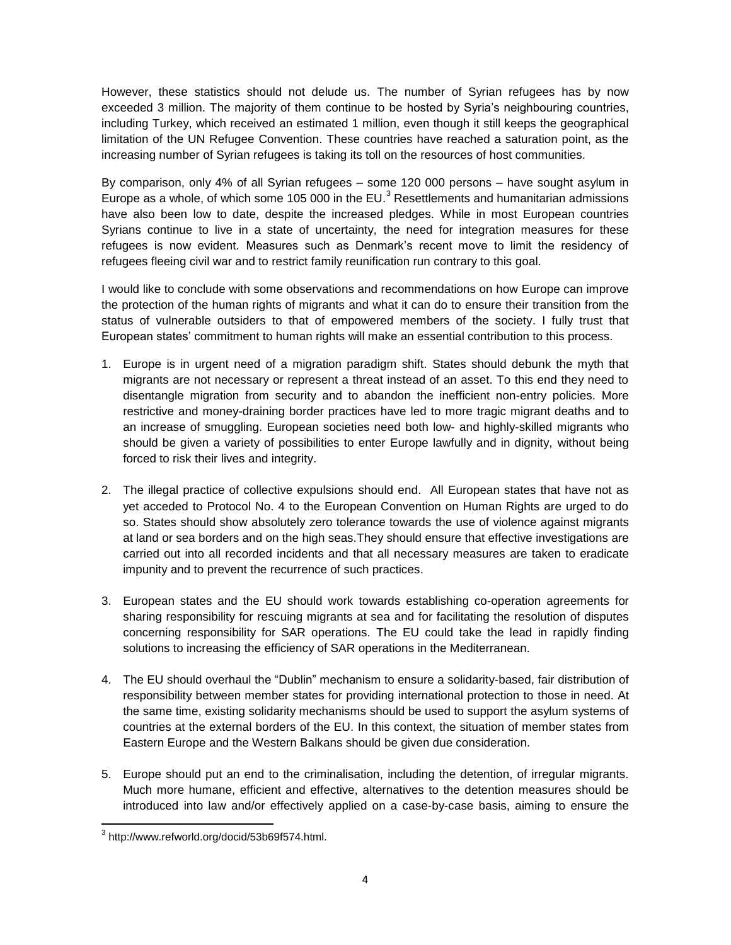However, these statistics should not delude us. The number of Syrian refugees has by now exceeded 3 million. The majority of them continue to be hosted by Syria's neighbouring countries, including Turkey, which received an estimated 1 million, even though it still keeps the geographical limitation of the UN Refugee Convention. These countries have reached a saturation point, as the increasing number of Syrian refugees is taking its toll on the resources of host communities.

By comparison, only 4% of all Syrian refugees – some 120 000 persons – have sought asylum in Europe as a whole, of which some 105 000 in the EU. $<sup>3</sup>$  Resettlements and humanitarian admissions</sup> have also been low to date, despite the increased pledges. While in most European countries Syrians continue to live in a state of uncertainty, the need for integration measures for these refugees is now evident. Measures such as Denmark's recent move to limit the residency of refugees fleeing civil war and to restrict family reunification run contrary to this goal.

I would like to conclude with some observations and recommendations on how Europe can improve the protection of the human rights of migrants and what it can do to ensure their transition from the status of vulnerable outsiders to that of empowered members of the society. I fully trust that European states' commitment to human rights will make an essential contribution to this process.

- 1. Europe is in urgent need of a migration paradigm shift. States should debunk the myth that migrants are not necessary or represent a threat instead of an asset. To this end they need to disentangle migration from security and to abandon the inefficient non-entry policies. More restrictive and money-draining border practices have led to more tragic migrant deaths and to an increase of smuggling. European societies need both low- and highly-skilled migrants who should be given a variety of possibilities to enter Europe lawfully and in dignity, without being forced to risk their lives and integrity.
- 2. The illegal practice of collective expulsions should end. All European states that have not as yet acceded to Protocol No. 4 to the European Convention on Human Rights are urged to do so. States should show absolutely zero tolerance towards the use of violence against migrants at land or sea borders and on the high seas.They should ensure that effective investigations are carried out into all recorded incidents and that all necessary measures are taken to eradicate impunity and to prevent the recurrence of such practices.
- 3. European states and the EU should work towards establishing co-operation agreements for sharing responsibility for rescuing migrants at sea and for facilitating the resolution of disputes concerning responsibility for SAR operations. The EU could take the lead in rapidly finding solutions to increasing the efficiency of SAR operations in the Mediterranean.
- 4. The EU should overhaul the "Dublin" mechanism to ensure a solidarity-based, fair distribution of responsibility between member states for providing international protection to those in need. At the same time, existing solidarity mechanisms should be used to support the asylum systems of countries at the external borders of the EU. In this context, the situation of member states from Eastern Europe and the Western Balkans should be given due consideration.
- 5. Europe should put an end to the criminalisation, including the detention, of irregular migrants. Much more humane, efficient and effective, alternatives to the detention measures should be introduced into law and/or effectively applied on a case-by-case basis, aiming to ensure the

 3 http://www.refworld.org/docid/53b69f574.html.